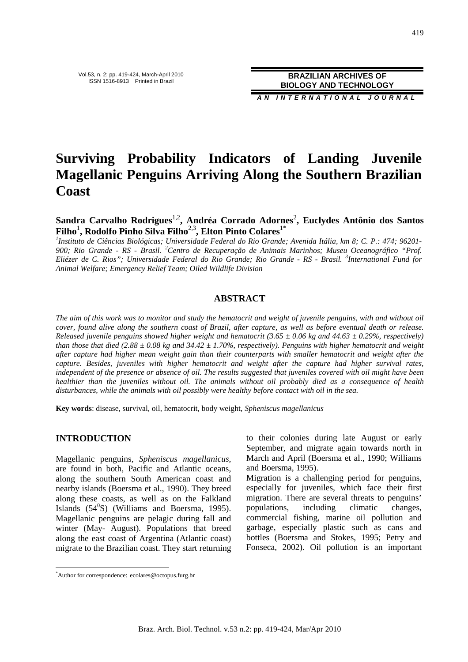**A N I N T E R N A T I O N A L J O U R N A L**

# **Surviving Probability Indicators of Landing Juvenile Magellanic Penguins Arriving Along the Southern Brazilian Coast**

Sandra Carvalho Rodrigues<sup>1,2</sup>, Andréa Corrado Adornes<sup>2</sup>, Euclydes Antônio dos Santos  $\mathbf{Filho}^{1}, \mathbf{Rodolfo Pinho Silva Filho}^{2,3}, \mathbf{Elton Pinto Colares}^{1*}$ 

*1 Instituto de Ciências Biológicas; Universidade Federal do Rio Grande; Avenida Itália, km 8; C. P.: 474; 96201- 900; Rio Grande - RS - Brasil. <sup>2</sup>Centro de Recuperação de Animais Marinhos; Museu Oceanográfico "Prof. Eliézer de C. Rios"; Universidade Federal do Rio Grande; Rio Grande - RS - Brasil. <sup>3</sup> International Fund for Animal Welfare; Emergency Relief Team; Oiled Wildlife Division* 

# **ABSTRACT**

*The aim of this work was to monitor and study the hematocrit and weight of juvenile penguins, with and without oil cover, found alive along the southern coast of Brazil, after capture, as well as before eventual death or release. Released juvenile penguins showed higher weight and hematocrit (3.65 ± 0.06 kg and 44.63 ± 0.29%, respectively) than those that died (2.88*  $\pm$  *0.08 kg and 34.42*  $\pm$  *1.70%, respectively). Penguins with higher hematocrit and weight after capture had higher mean weight gain than their counterparts with smaller hematocrit and weight after the capture. Besides, juveniles with higher hematocrit and weight after the capture had higher survival rates, independent of the presence or absence of oil. The results suggested that juveniles covered with oil might have been healthier than the juveniles without oil. The animals without oil probably died as a consequence of health disturbances, while the animals with oil possibly were healthy before contact with oil in the sea.* 

**Key words**: disease, survival, oil, hematocrit, body weight, *Spheniscus magellanicus*

# **INTRODUCTION**

 $\overline{a}$ 

Magellanic penguins, *Spheniscus magellanicus*, are found in both, Pacific and Atlantic oceans, along the southern South American coast and nearby islands (Boersma et al., 1990). They breed along these coasts, as well as on the Falkland Islands  $(54^0S)$  (Williams and Boersma, 1995). Magellanic penguins are pelagic during fall and winter (May- August). Populations that breed along the east coast of Argentina (Atlantic coast) migrate to the Brazilian coast. They start returning to their colonies during late August or early September, and migrate again towards north in March and April (Boersma et al., 1990; Williams and Boersma, 1995).

Migration is a challenging period for penguins, especially for juveniles, which face their first migration. There are several threats to penguins' populations, including climatic changes, commercial fishing, marine oil pollution and garbage, especially plastic such as cans and bottles (Boersma and Stokes, 1995; Petry and Fonseca, 2002). Oil pollution is an important

<sup>\*</sup>Author for correspondence: ecolares@octopus.furg.br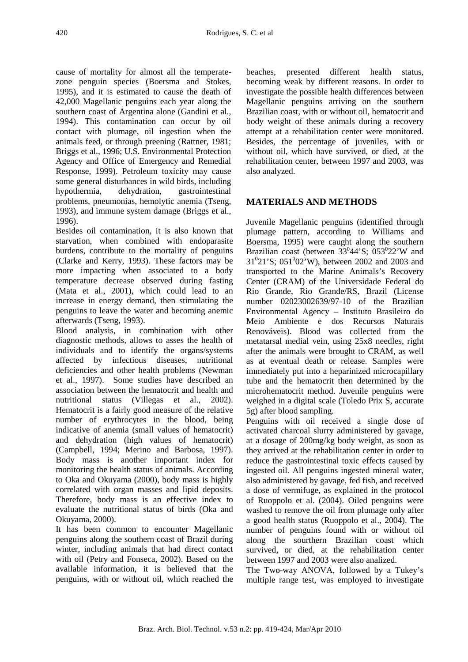cause of mortality for almost all the temperatezone penguin species (Boersma and Stokes, 1995), and it is estimated to cause the death of 42,000 Magellanic penguins each year along the southern coast of Argentina alone (Gandini et al., 1994). This contamination can occur by oil contact with plumage, oil ingestion when the animals feed, or through preening (Rattner, 1981; Briggs et al., 1996; U.S. Environmental Protection Agency and Office of Emergency and Remedial Response, 1999). Petroleum toxicity may cause some general disturbances in wild birds, including hypothermia, dehydration, gastrointestinal problems, pneumonias, hemolytic anemia (Tseng, 1993), and immune system damage (Briggs et al., 1996).

Besides oil contamination, it is also known that starvation, when combined with endoparasite burdens, contribute to the mortality of penguins (Clarke and Kerry, 1993). These factors may be more impacting when associated to a body temperature decrease observed during fasting (Mata et al., 2001), which could lead to an increase in energy demand, then stimulating the penguins to leave the water and becoming anemic afterwards (Tseng, 1993).

Blood analysis, in combination with other diagnostic methods, allows to asses the health of individuals and to identify the organs/systems affected by infectious diseases, nutritional deficiencies and other health problems (Newman et al., 1997). Some studies have described an association between the hematocrit and health and nutritional status (Villegas et al.*,* 2002). Hematocrit is a fairly good measure of the relative number of erythrocytes in the blood, being indicative of anemia (small values of hematocrit) and dehydration (high values of hematocrit) (Campbell, 1994; Merino and Barbosa, 1997). Body mass is another important index for monitoring the health status of animals. According to Oka and Okuyama (2000), body mass is highly correlated with organ masses and lipid deposits. Therefore, body mass is an effective index to evaluate the nutritional status of birds (Oka and Okuyama, 2000).

It has been common to encounter Magellanic penguins along the southern coast of Brazil during winter, including animals that had direct contact with oil (Petry and Fonseca, 2002). Based on the available information, it is believed that the penguins, with or without oil, which reached the beaches, presented different health status, becoming weak by different reasons. In order to investigate the possible health differences between Magellanic penguins arriving on the southern Brazilian coast, with or without oil, hematocrit and body weight of these animals during a recovery attempt at a rehabilitation center were monitored. Besides, the percentage of juveniles, with or without oil, which have survived, or died, at the rehabilitation center, between 1997 and 2003, was also analyzed.

# **MATERIALS AND METHODS**

Juvenile Magellanic penguins (identified through plumage pattern, according to Williams and Boersma, 1995) were caught along the southern Brazilian coast (between  $33^{0}44$ 'S;  $053^{0}22$ 'W and  $31^021$ 'S;  $051^002$ 'W), between 2002 and 2003 and transported to the Marine Animals's Recovery Center (CRAM) of the Universidade Federal do Rio Grande, Rio Grande/RS, Brazil (License number 02023002639/97-10 of the Brazilian Environmental Agency – Instituto Brasileiro do Meio Ambiente e dos Recursos Naturais Renováveis). Blood was collected from the metatarsal medial vein, using 25x8 needles, right after the animals were brought to CRAM, as well as at eventual death or release. Samples were immediately put into a heparinized microcapillary tube and the hematocrit then determined by the microhematocrit method. Juvenile penguins were weighed in a digital scale (Toledo Prix S, accurate 5g) after blood sampling.

Penguins with oil received a single dose of activated charcoal slurry administered by gavage, at a dosage of 200mg/kg body weight, as soon as they arrived at the rehabilitation center in order to reduce the gastrointestinal toxic effects caused by ingested oil. All penguins ingested mineral water, also administered by gavage, fed fish, and received a dose of vermifuge, as explained in the protocol of Ruoppolo et al. (2004). Oiled penguins were washed to remove the oil from plumage only after a good health status (Ruoppolo et al., 2004). The number of penguins found with or without oil along the sourthern Brazilian coast which survived, or died, at the rehabilitation center between 1997 and 2003 were also analized.

The Two-way ANOVA, followed by a Tukey's multiple range test, was employed to investigate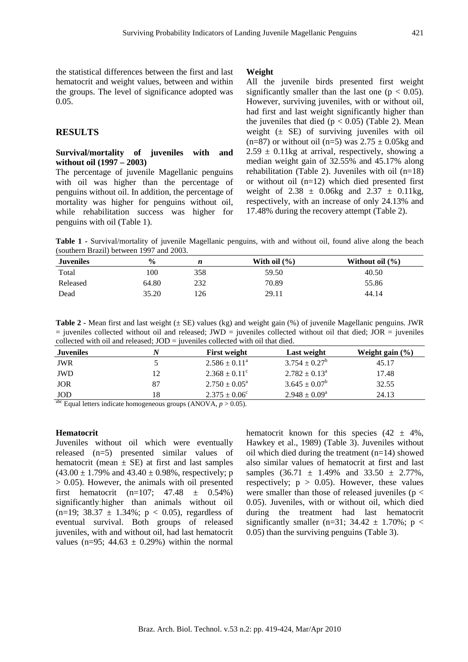the statistical differences between the first and last hematocrit and weight values, between and within the groups. The level of significance adopted was 0.05.

# **RESULTS**

#### **Survival/mortality of juveniles with and without oil (1997 – 2003)**

The percentage of juvenile Magellanic penguins with oil was higher than the percentage of penguins without oil. In addition, the percentage of mortality was higher for penguins without oil, while rehabilitation success was higher for penguins with oil (Table 1).

#### **Weight**

All the juvenile birds presented first weight significantly smaller than the last one ( $p < 0.05$ ). However, surviving juveniles, with or without oil, had first and last weight significantly higher than the juveniles that died  $(p < 0.05)$  (Table 2). Mean weight  $(\pm \text{ SE})$  of surviving juveniles with oil  $(n=87)$  or without oil  $(n=5)$  was  $2.75 \pm 0.05$ kg and  $2.59 \pm 0.11$ kg at arrival, respectively, showing a median weight gain of 32.55% and 45.17% along rehabilitation (Table 2). Juveniles with oil  $(n=18)$ or without oil (n=12) which died presented first weight of  $2.38 \pm 0.06$ kg and  $2.37 \pm 0.11$ kg, respectively, with an increase of only 24.13% and 17.48% during the recovery attempt (Table 2).

**Table 1 -** Survival/mortality of juvenile Magellanic penguins, with and without oil, found alive along the beach (southern Brazil) between 1997 and 2003.

| <b>Juveniles</b> | $\frac{0}{0}$ | n   | With oil $(\% )$ | Without oil $(\% )$ |
|------------------|---------------|-----|------------------|---------------------|
| Total            | 100           | 358 | 59.50            | 40.50               |
| Released         | 64.80         | 232 | 70.89            | 55.86               |
| Dead             | 35.20         | !26 | 29.11            | 44.14               |

**Table 2 -** Mean first and last weight ( $\pm$  SE) values (kg) and weight gain (%) of juvenile Magellanic penguins. JWR  $=$  juveniles collected without oil and released; JWD  $=$  juveniles collected without oil that died; JOR  $=$  juveniles collected with oil and released; JOD = juveniles collected with oil that died.

| <b>Juveniles</b>            |    | <b>First weight</b>         | Last weight              | Weight gain $(\% )$ |
|-----------------------------|----|-----------------------------|--------------------------|---------------------|
| JWR                         |    | $2.586 \pm 0.11^{\circ}$    | $3.754 \pm 0.27^b$       | 45.17               |
| JWD                         | 12 | $2.368 \pm 0.11^{\circ}$    | $2.782 \pm 0.13^{\circ}$ | 17.48               |
| JOR                         | 87 | $2.750 \pm 0.05^{\text{a}}$ | $3.645 \pm 0.07^b$       | 32.55               |
| JOD                         | 18 | $2.375 \pm 0.06^{\circ}$    | $2.948 \pm 0.09^a$       | 24.13               |
| $\sim$ $\sim$ $\sim$ $\sim$ |    |                             |                          |                     |

<sup>abc</sup> Equal letters indicate homogeneous groups (ANOVA,  $p > 0.05$ ).

#### **Hematocrit**

Juveniles without oil which were eventually released (n=5) presented similar values of hematocrit (mean  $\pm$  SE) at first and last samples  $(43.00 \pm 1.79\% \text{ and } 43.40 \pm 0.98\% \text{, respectively}; \text{p})$  $> 0.05$ ). However, the animals with oil presented first hematocrit  $(n=107; 47.48 \pm 0.54\%)$ significantly:higher than animals without oil  $(n=19; 38.37 \pm 1.34\%; p < 0.05)$ , regardless of eventual survival. Both groups of released juveniles, with and without oil, had last hematocrit values (n=95;  $44.63 \pm 0.29\%$ ) within the normal

hematocrit known for this species  $(42 \pm 4\%)$ , Hawkey et al., 1989) (Table 3). Juveniles without oil which died during the treatment (n=14) showed also similar values of hematocrit at first and last samples  $(36.71 \pm 1.49\%$  and  $33.50 \pm 2.77\%$ , respectively;  $p > 0.05$ ). However, these values were smaller than those of released juveniles ( $p <$ 0.05). Juveniles, with or without oil, which died during the treatment had last hematocrit significantly smaller (n=31;  $34.42 \pm 1.70\%$ ; p < 0.05) than the surviving penguins (Table 3).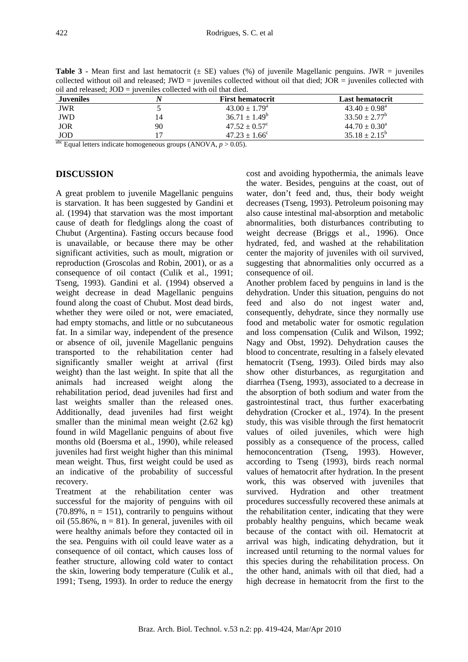**Table 3 -** Mean first and last hematocrit ( $\pm$  SE) values (%) of juvenile Magellanic penguins. JWR = juveniles collected without oil and released; JWD = juveniles collected without oil that died; JOR = juveniles collected with oil and released; JOD = juveniles collected with oil that died.

| Juveniles  |    | <b>First hematocrit</b>       | Last hematocrit             |
|------------|----|-------------------------------|-----------------------------|
| JWR        |    | $43.00 \pm 1.79$ <sup>a</sup> | $43.40 \pm 0.98^{\text{a}}$ |
| <b>JWD</b> |    | $36.71 \pm 1.49^b$            | $33.50 \pm 2.77^b$          |
| <b>JOR</b> | 90 | $47.52 \pm 0.57^{\circ}$      | $44.70 \pm 0.30^a$          |
| <b>JOD</b> |    | $47.23 \pm 1.66^{\circ}$      | $35.18 \pm 2.15^b$          |

 $\frac{abc}{d}$  Equal letters indicate homogeneous groups (ANOVA,  $p > 0.05$ ).

#### **DISCUSSION**

A great problem to juvenile Magellanic penguins is starvation. It has been suggested by Gandini et al. (1994) that starvation was the most important cause of death for fledglings along the coast of Chubut (Argentina). Fasting occurs because food is unavailable, or because there may be other significant activities, such as moult, migration or reproduction (Groscolas and Robin, 2001), or as a consequence of oil contact (Culik et al., 1991; Tseng, 1993). Gandini et al. (1994) observed a weight decrease in dead Magellanic penguins found along the coast of Chubut. Most dead birds, whether they were oiled or not, were emaciated, had empty stomachs, and little or no subcutaneous fat. In a similar way, independent of the presence or absence of oil, juvenile Magellanic penguins transported to the rehabilitation center had significantly smaller weight at arrival (first weight) than the last weight. In spite that all the animals had increased weight along the rehabilitation period, dead juveniles had first and last weights smaller than the released ones. Additionally, dead juveniles had first weight smaller than the minimal mean weight (2.62 kg) found in wild Magellanic penguins of about five months old (Boersma et al., 1990), while released juveniles had first weight higher than this minimal mean weight. Thus, first weight could be used as an indicative of the probability of successful recovery.

Treatment at the rehabilitation center was successful for the majority of penguins with oil  $(70.89\% , n = 151)$ , contrarily to penguins without oil (55.86%,  $n = 81$ ). In general, juveniles with oil were healthy animals before they contacted oil in the sea. Penguins with oil could leave water as a consequence of oil contact, which causes loss of feather structure, allowing cold water to contact the skin, lowering body temperature (Culik et al., 1991; Tseng, 1993). In order to reduce the energy cost and avoiding hypothermia, the animals leave the water. Besides, penguins at the coast, out of water, don't feed and, thus, their body weight decreases (Tseng, 1993). Petroleum poisoning may also cause intestinal mal-absorption and metabolic abnormalities, both disturbances contributing to weight decrease (Briggs et al., 1996). Once hydrated, fed, and washed at the rehabilitation center the majority of juveniles with oil survived, suggesting that abnormalities only occurred as a consequence of oil.

Another problem faced by penguins in land is the dehydration. Under this situation, penguins do not feed and also do not ingest water and, consequently, dehydrate, since they normally use food and metabolic water for osmotic regulation and loss compensation (Culik and Wilson, 1992; Nagy and Obst, 1992). Dehydration causes the blood to concentrate, resulting in a falsely elevated hematocrit (Tseng, 1993). Oiled birds may also show other disturbances, as regurgitation and diarrhea (Tseng, 1993), associated to a decrease in the absorption of both sodium and water from the gastrointestinal tract, thus further exacerbating dehydration (Crocker et al., 1974). In the present study, this was visible through the first hematocrit values of oiled juveniles, which were high possibly as a consequence of the process, called hemoconcentration (Tseng, 1993). However, according to Tseng (1993), birds reach normal values of hematocrit after hydration. In the present work, this was observed with juveniles that survived. Hydration and other treatment procedures successfully recovered these animals at the rehabilitation center, indicating that they were probably healthy penguins, which became weak because of the contact with oil. Hematocrit at arrival was high, indicating dehydration, but it increased until returning to the normal values for this species during the rehabilitation process. On the other hand, animals with oil that died, had a high decrease in hematocrit from the first to the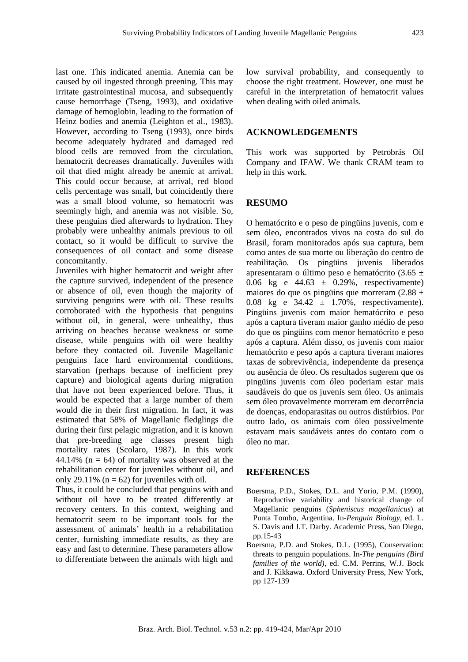last one. This indicated anemia. Anemia can be caused by oil ingested through preening. This may irritate gastrointestinal mucosa, and subsequently cause hemorrhage (Tseng, 1993), and oxidative damage of hemoglobin, leading to the formation of Heinz bodies and anemia (Leighton et al., 1983). However, according to Tseng (1993), once birds become adequately hydrated and damaged red blood cells are removed from the circulation, hematocrit decreases dramatically. Juveniles with oil that died might already be anemic at arrival. This could occur because, at arrival, red blood cells percentage was small, but coincidently there was a small blood volume, so hematocrit was seemingly high, and anemia was not visible. So, these penguins died afterwards to hydration. They probably were unhealthy animals previous to oil contact, so it would be difficult to survive the consequences of oil contact and some disease concomitantly.

Juveniles with higher hematocrit and weight after the capture survived, independent of the presence or absence of oil, even though the majority of surviving penguins were with oil. These results corroborated with the hypothesis that penguins without oil, in general, were unhealthy, thus arriving on beaches because weakness or some disease, while penguins with oil were healthy before they contacted oil. Juvenile Magellanic penguins face hard environmental conditions, starvation (perhaps because of inefficient prey capture) and biological agents during migration that have not been experienced before. Thus, it would be expected that a large number of them would die in their first migration. In fact, it was estimated that 58% of Magellanic fledglings die during their first pelagic migration, and it is known that pre-breeding age classes present high mortality rates (Scolaro, 1987). In this work 44.14% ( $n = 64$ ) of mortality was observed at the rehabilitation center for juveniles without oil, and only 29.11% ( $n = 62$ ) for juveniles with oil.

Thus, it could be concluded that penguins with and without oil have to be treated differently at recovery centers. In this context, weighing and hematocrit seem to be important tools for the assessment of animals' health in a rehabilitation center, furnishing immediate results, as they are easy and fast to determine. These parameters allow to differentiate between the animals with high and low survival probability, and consequently to choose the right treatment. However, one must be careful in the interpretation of hematocrit values when dealing with oiled animals.

# **ACKNOWLEDGEMENTS**

This work was supported by Petrobrás Oil Company and IFAW. We thank CRAM team to help in this work.

### **RESUMO**

O hematócrito e o peso de pingüins juvenis, com e sem óleo, encontrados vivos na costa do sul do Brasil, foram monitorados após sua captura, bem como antes de sua morte ou liberação do centro de reabilitação. Os pingüins juvenis liberados apresentaram o último peso e hematócrito (3.65 ± 0.06 kg e  $44.63 \pm 0.29\%$ , respectivamente) maiores do que os pingüins que morreram (2.88  $\pm$ 0.08 kg e  $34.42 \pm 1.70\%$ , respectivamente). Pingüins juvenis com maior hematócrito e peso após a captura tiveram maior ganho médio de peso do que os pingüins com menor hematócrito e peso após a captura. Além disso, os juvenis com maior hematócrito e peso após a captura tiveram maiores taxas de sobrevivência, independente da presença ou ausência de óleo. Os resultados sugerem que os pingüins juvenis com óleo poderiam estar mais saudáveis do que os juvenis sem óleo. Os animais sem óleo provavelmente morreram em decorrência de doenças, endoparasitas ou outros distúrbios. Por outro lado, os animais com óleo possivelmente estavam mais saudáveis antes do contato com o óleo no mar.

#### **REFERENCES**

- Boersma, P.D., Stokes, D.L. and Yorio, P.M. (1990), Reproductive variability and historical change of Magellanic penguins (*Spheniscus magellanicus*) at Punta Tombo, Argentina. In-*Penguin Biology*, ed. L. S. Davis and J.T. Darby. Academic Press, San Diego, pp.15-43
- Boersma, P.D. and Stokes, D.L. (1995), Conservation: threats to penguin populations. In-*The penguins (Bird families of the world)*, ed. C.M. Perrins, W.J. Bock and J. Kikkawa. Oxford University Press, New York, pp 127-139